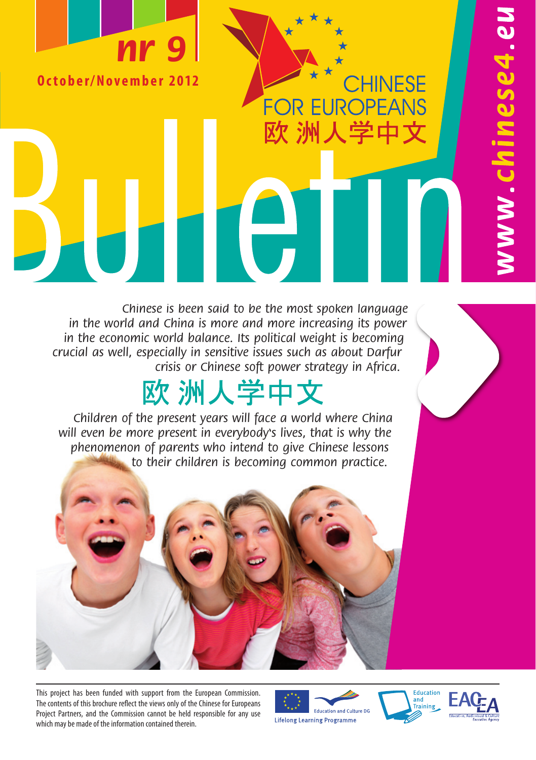# **nr 9**

**O c t o b e r / N o v e m b e r 2 0 12**

Chinese is been said to be the most spoken language in the world and China is more and more increasing its power in the economic world balance. Its political weight is becoming crucial as well, especially in sensitive issues such as about Darfur crisis or Chinese soft power strategy in Africa.

IH

## 欧 洲人学中文

Children of the present years will face a world where China will even be more present in everybody's lives, that is why the phenomenon of parents who intend to give Chinese lessons to their children is becoming common practice.

This project has been funded with support from the European Commission. The contents of this brochure reflect the views only of the Chinese for Europeans Project Partners, and the Commission cannot be held responsible for any use which may be made of the information contained therein.

**Education and Culture DG Lifelong Learning Programme** 





w.chinese4.eu

CHINESE

**FOR EUROPEANS** 

欧 洲人学中文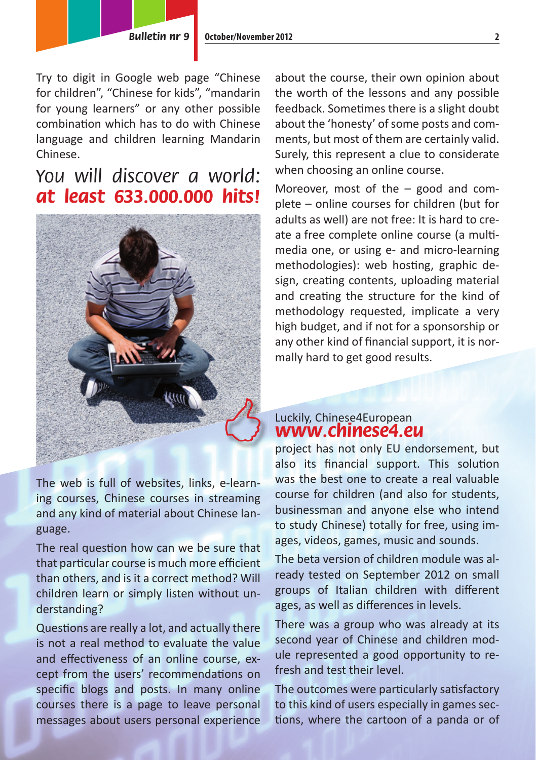Try to digit in Google web page "Chinese for children", "Chinese for kids", "mandarin for young learners" or any other possible combination which has to do with Chinese language and children learning Mandarin Chinese.

### You will discover a world: **at least 633.000.000 hits!**



The web is full of websites, links, e-learning courses, Chinese courses in streaming and any kind of material about Chinese language.

The real question how can we be sure that that particular course is much more efficient than others, and is it a correct method? Will children learn or simply listen without understanding?

Questions are really a lot, and actually there is not a real method to evaluate the value and effectiveness of an online course, except from the users' recommendations on specific blogs and posts. In many online courses there is a page to leave personal messages about users personal experience

about the course, their own opinion about the worth of the lessons and any possible feedback. Sometimes there is a slight doubt about the 'honesty' of some posts and comments, but most of them are certainly valid. Surely, this represent a clue to considerate when choosing an online course.

Moreover, most of the – good and complete – online courses for children (but for adults as well) are not free: It is hard to create a free complete online course (a multimedia one, or using e- and micro-learning methodologies): web hosting, graphic design, creating contents, uploading material and creating the structure for the kind of methodology requested, implicate a very high budget, and if not for a sponsorship or any other kind of financial support, it is normally hard to get good results.

### Luckily, Chinese4European **www.chinese4.eu**

project has not only EU endorsement, but also its financial support. This solution was the best one to create a real valuable course for children (and also for students, businessman and anyone else who intend to study Chinese) totally for free, using images, videos, games, music and sounds.

The beta version of children module was already tested on September 2012 on small groups of Italian children with different ages, as well as differences in levels.

There was a group who was already at its second year of Chinese and children module represented a good opportunity to refresh and test their level.

The outcomes were particularly satisfactory to this kind of users especially in games sections, where the cartoon of a panda or of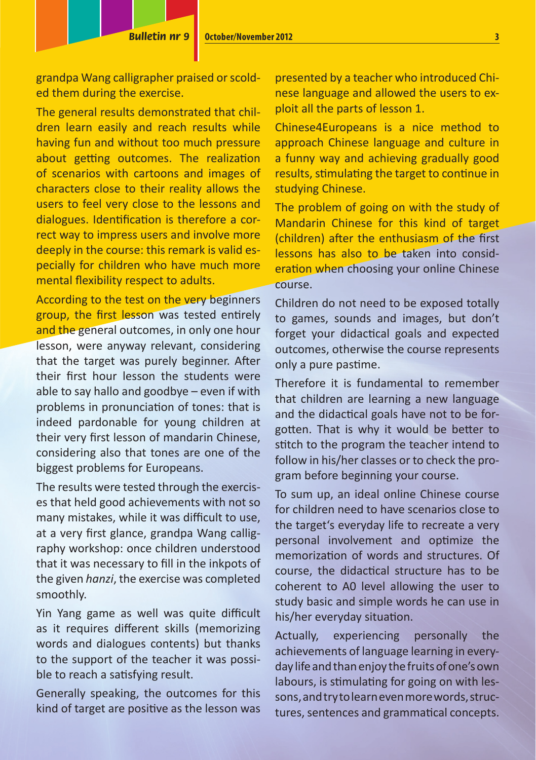grandpa Wang calligrapher praised or scolded them during the exercise.

The general results demonstrated that children learn easily and reach results while having fun and without too much pressure about getting outcomes. The realization of scenarios with cartoons and images of characters close to their reality allows the users to feel very close to the lessons and dialogues. Identification is therefore a correct way to impress users and involve more deeply in the course: this remark is valid especially for children who have much more mental flexibility respect to adults.

According to the test on the very beginners group, the first lesson was tested entirely and the general outcomes, in only one hour lesson, were anyway relevant, considering that the target was purely beginner. After their first hour lesson the students were able to say hallo and goodbye – even if with problems in pronunciation of tones: that is indeed pardonable for young children at their very first lesson of mandarin Chinese. considering also that tones are one of the biggest problems for Europeans.

The results were tested through the exercises that held good achievements with not so many mistakes, while it was difficult to use, at a very first glance, grandpa Wang calligraphy workshop: once children understood that it was necessary to fill in the inkpots of the given *hanzi*, the exercise was completed smoothly.

Yin Yang game as well was quite difficult as it requires different skills (memorizing words and dialogues contents) but thanks to the support of the teacher it was possible to reach a satisfying result.

Generally speaking, the outcomes for this kind of target are positive as the lesson was presented by a teacher who introduced Chinese language and allowed the users to exploit all the parts of lesson 1.

Chinese4Europeans is a nice method to approach Chinese language and culture in a funny way and achieving gradually good results, stimulating the target to continue in studying Chinese.

The problem of going on with the study of Mandarin Chinese for this kind of target (children) after the enthusiasm of the first lessons has also to be taken into consideration when choosing your online Chinese course.

Children do not need to be exposed totally to games, sounds and images, but don't forget your didactical goals and expected outcomes, otherwise the course represents only a pure pastime.

Therefore it is fundamental to remember that children are learning a new language and the didactical goals have not to be forgotten. That is why it would be better to stitch to the program the teacher intend to follow in his/her classes or to check the program before beginning your course.

To sum up, an ideal online Chinese course for children need to have scenarios close to the target's everyday life to recreate a very personal involvement and optimize the memorization of words and structures. Of course, the didactical structure has to be coherent to A0 level allowing the user to study basic and simple words he can use in his/her everyday situation.

Actually, experiencing personally the achievements of language learning in everyday life and than enjoy the fruits of one's own labours, is stimulating for going on with lessons, and try to learn even more words, structures, sentences and grammatical concepts.